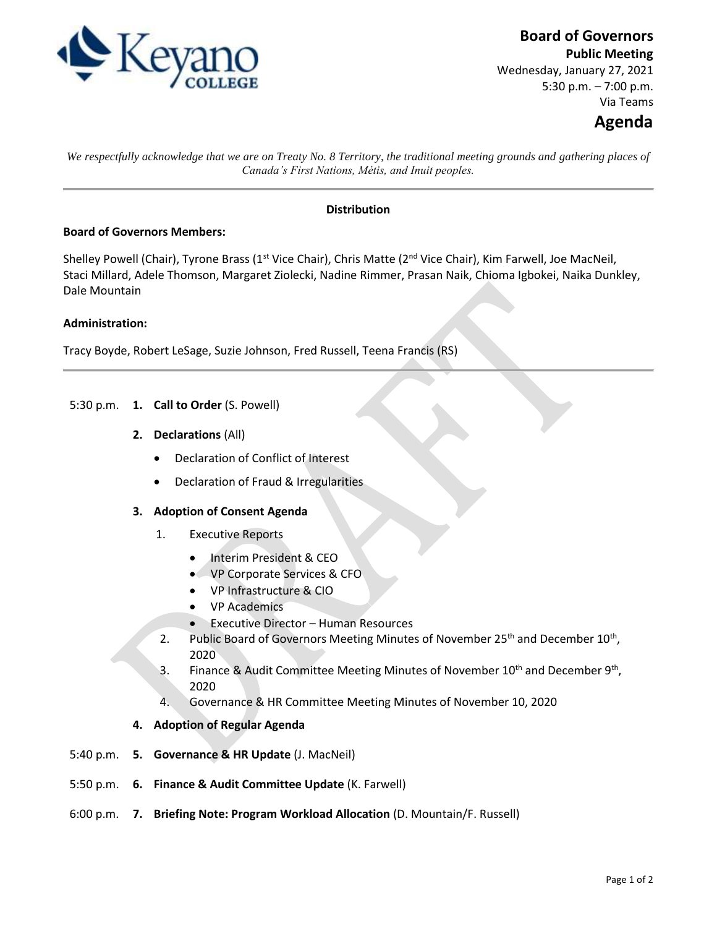

**Board of Governors**

**Public Meeting** Wednesday, January 27, 2021 5:30 p.m. – 7:00 p.m. Via Teams

# **Agenda**

*We respectfully acknowledge that we are on Treaty No. 8 Territory, the traditional meeting grounds and gathering places of Canada's First Nations, Métis, and Inuit peoples.*

## **Distribution**

### **Board of Governors Members:**

Shelley Powell (Chair), Tyrone Brass (1<sup>st</sup> Vice Chair), Chris Matte (2<sup>nd</sup> Vice Chair), Kim Farwell, Joe MacNeil, Staci Millard, Adele Thomson, Margaret Ziolecki, Nadine Rimmer, Prasan Naik, Chioma Igbokei, Naika Dunkley, Dale Mountain

### **Administration:**

Tracy Boyde, Robert LeSage, Suzie Johnson, Fred Russell, Teena Francis (RS)

- 5:30 p.m. **1. Call to Order** (S. Powell)
	- **2. Declarations** (All)
		- Declaration of Conflict of Interest
		- Declaration of Fraud & Irregularities

#### **3. Adoption of Consent Agenda**

- 1. Executive Reports
	- Interim President & CEO
	- VP Corporate Services & CFO
	- VP Infrastructure & CIO
	- VP Academics
	- Executive Director Human Resources
- 2. Public Board of Governors Meeting Minutes of November 25<sup>th</sup> and December 10<sup>th</sup>, 2020
- 3. Finance & Audit Committee Meeting Minutes of November  $10^{th}$  and December  $9^{th}$ , 2020
- 4. Governance & HR Committee Meeting Minutes of November 10, 2020
- **4. Adoption of Regular Agenda**
- 5:40 p.m. **5. Governance & HR Update** (J. MacNeil)
- 5:50 p.m. **6. Finance & Audit Committee Update** (K. Farwell)
- 6:00 p.m. **7. Briefing Note: Program Workload Allocation** (D. Mountain/F. Russell)